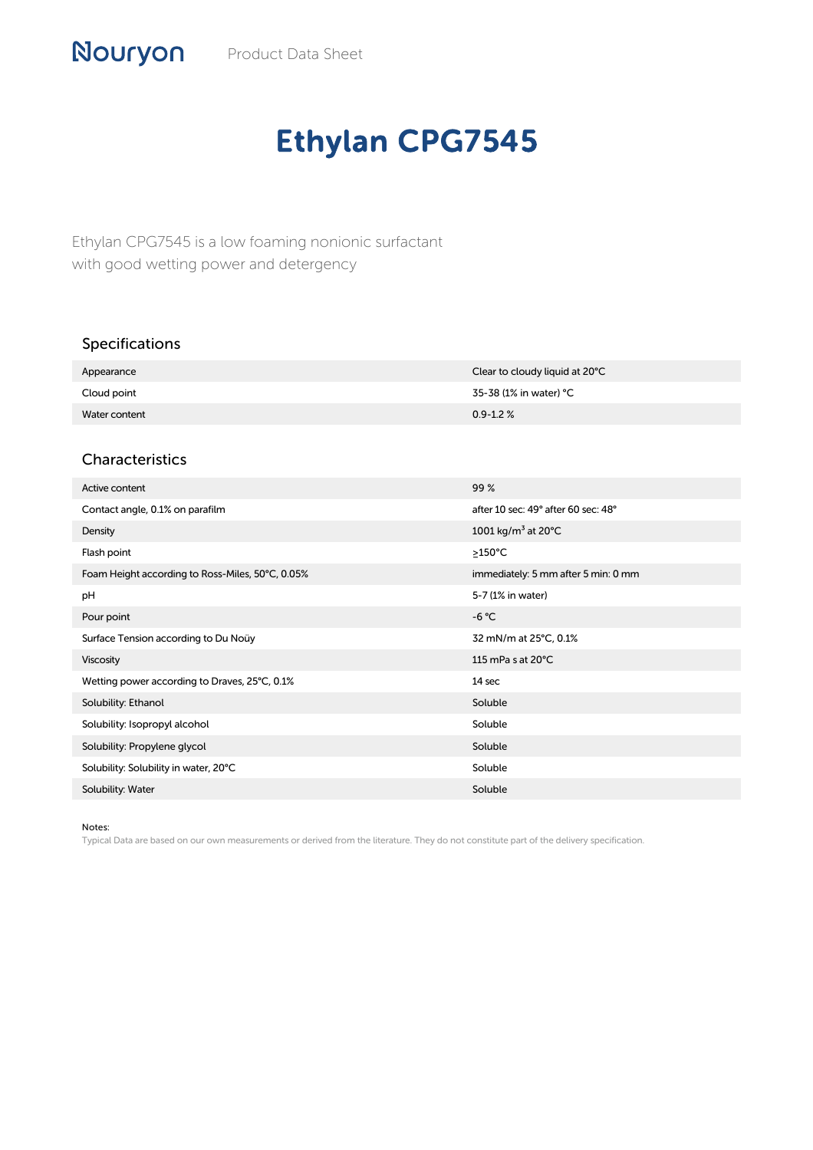## Nouryon Product Data Sheet

## Ethylan CPG7545

Ethylan CPG7545 is a low foaming nonionic surfactant with good wetting power and detergency

| <b>Specifications</b> |                                |
|-----------------------|--------------------------------|
| Appearance            | Clear to cloudy liquid at 20°C |
| Cloud point           | 35-38 (1% in water) °C         |
| Water content         | $0.9 - 1.2 \%$                 |
|                       |                                |

## Characteristics

| Active content                                   | 99%                                       |
|--------------------------------------------------|-------------------------------------------|
| Contact angle, 0.1% on parafilm                  | after 10 sec: 49° after 60 sec: 48°       |
| Density                                          | 1001 kg/m <sup>3</sup> at 20 $^{\circ}$ C |
| Flash point                                      | $\geq$ 150°C                              |
| Foam Height according to Ross-Miles, 50°C, 0.05% | immediately: 5 mm after 5 min: 0 mm       |
| pH                                               | 5-7 (1% in water)                         |
| Pour point                                       | $-6 °C$                                   |
| Surface Tension according to Du Noüy             | 32 mN/m at 25°C, 0.1%                     |
| <b>Viscosity</b>                                 | 115 mPa s at $20^{\circ}$ C               |
| Wetting power according to Draves, 25°C, 0.1%    | 14 sec                                    |
| Solubility: Ethanol                              | Soluble                                   |
| Solubility: Isopropyl alcohol                    | Soluble                                   |
| Solubility: Propylene glycol                     | Soluble                                   |
| Solubility: Solubility in water, 20°C            | Soluble                                   |
| Solubility: Water                                | Soluble                                   |

Notes:

Typical Data are based on our own measurements or derived from the literature. They do not constitute part of the delivery specification.